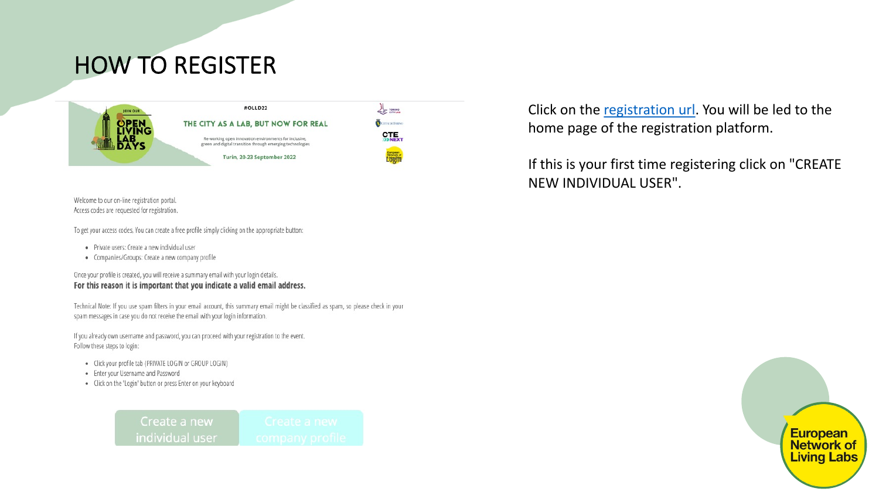# **HOW TO REGISTER**



Welcome to our on-line registration portal. Access codes are requested for registration.

To get your access codes, You can create a free profile simply clicking on the appropriate button:

- · Private users: Create a new individual user
- Companies/Groups: Create a new company profile

Once your profile is created, you will receive a summary email with your login details. For this reason it is important that you indicate a valid email address.

Technical Note: If you use spam filters in your email account, this summary email might be classified as spam, so please c spam messages in case you do not receive the email with your login information.

If you already own username and password, you can proceed with your registration to the event. Follow these steps to login:

- · Click your profile tab (PRIVATE LOGIN or GROUP LOGIN)
- Enter your Username and Password
- Click on the 'Login' button or press Enter on your keyboard

Create a new individual user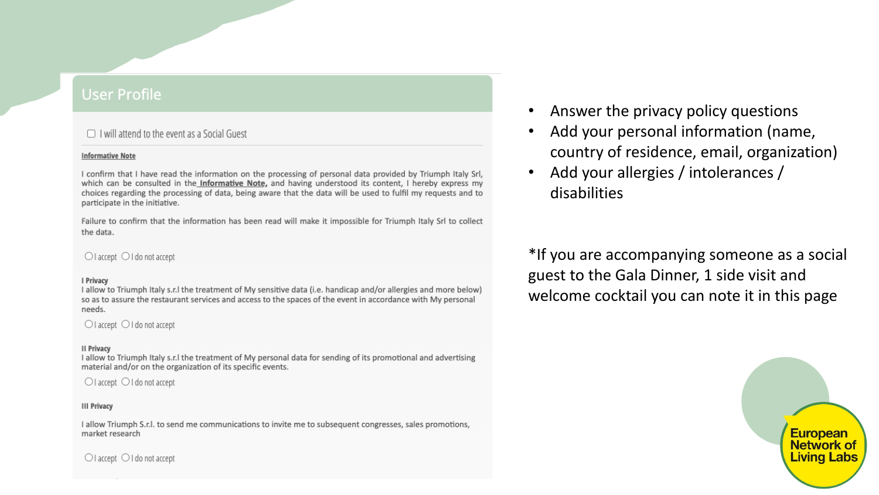## **User Profile**

 $\Box$  I will attend to the event as a Social Guest

#### **Informative Note**

I confirm that I have read the information on the processing of personal data provided by Triumph Italy Srl, which can be consulted in the Informative Note, and having understood its content, I hereby express my choices regarding the processing of data, being aware that the data will be used to fulfil my requests and to participate in the initiative.

Failure to confirm that the information has been read will make it impossible for Triumph Italy Srl to collect the data.

| $\bigcirc$ I accept $\bigcirc$ I do not accept                                                                                                                                                                                                  | $*$ If $\sqrt{ }$ |
|-------------------------------------------------------------------------------------------------------------------------------------------------------------------------------------------------------------------------------------------------|-------------------|
| I Privacy<br>I allow to Triumph Italy s.r. I the treatment of My sensitive data (i.e. handicap and/or allergies and more below)<br>so as to assure the restaurant services and access to the spaces of the event in accordance with My personal | gue<br>wel        |
| needs.                                                                                                                                                                                                                                          |                   |

 $\bigcirc$  I accept  $\bigcirc$  I do not accept

#### **II Privacy**

I allow to Triumph Italy s.r.l the treatment of My personal data for sending of its promotional and advertising material and/or on the organization of its specific events.

 $\bigcirc$  I accept  $\bigcirc$  I do not accept

#### **III Privacy**

I allow Triumph S.r.l. to send me communications to invite me to subsequent congresses, sales promotions, market research

 $\bigcirc$  I accept  $\bigcirc$  I do not accept

Answer the privacy policy questions Add your personal information (name, country of residence, email, organization) Add your allergies / intolerances / disabilities

 $\bullet$ 

you are accompanying someone as a social st to the Gala Dinner, 1 side visit and come cocktail you can note it in this page

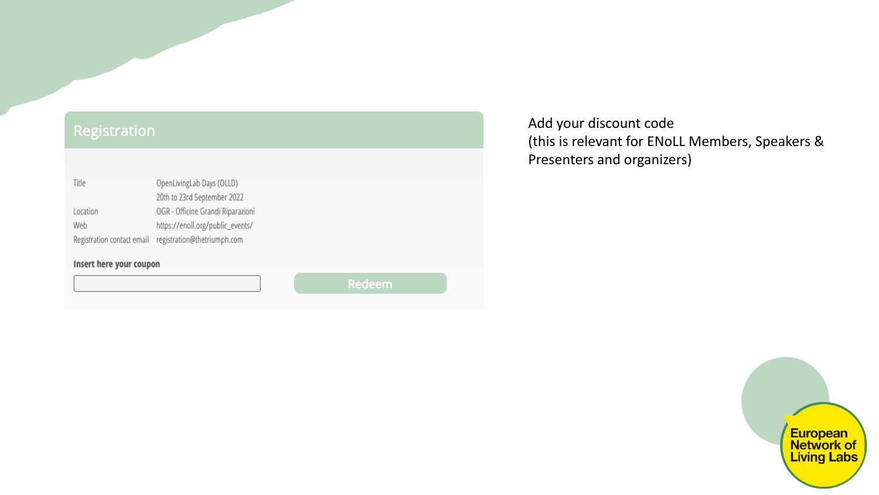## Registration

| Insert here your coupon |  |  |  |  |
|-------------------------|--|--|--|--|
|                         |  |  |  |  |
|                         |  |  |  |  |

Add your discount code (this is relevant for ENoLL Members, Speakers & Presenters and organizers)

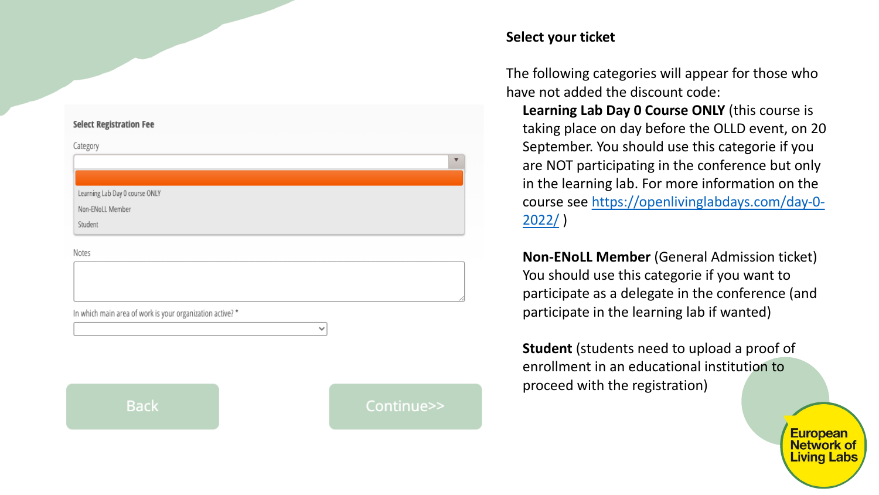### **Select Registration Fee**

Category

Learning Lab Day 0 course ONLY

Non-ENoLL Member

Student

Notes

In which main area of work is your organization active? \*

**Back**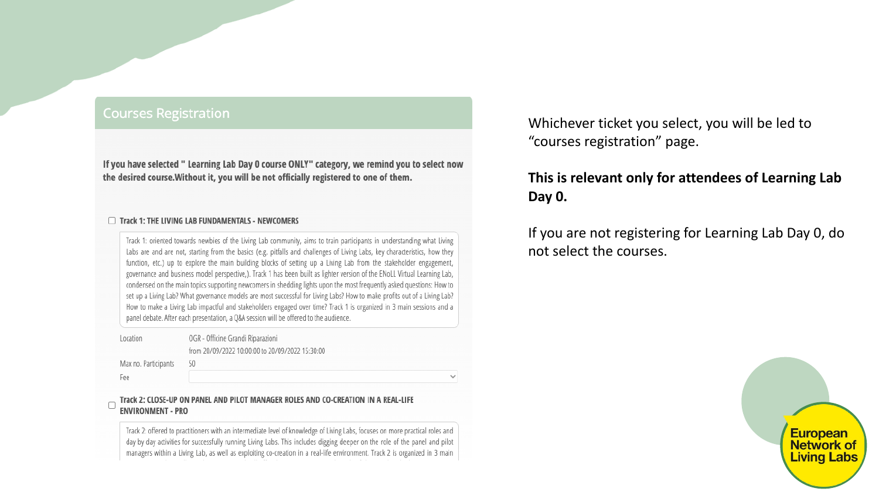## **Courses Registration**

Fee

If you have selected " Learning Lab Day 0 course ONLY" category, we remind you to select now the desired course. Without it, you will be not officially registered to one of them.

#### Track 1: THE LIVING LAB FUNDAMENTALS - NEWCOMERS

Track 1: oriented towards newbies of the Living Lab community, aims to train participants in understanding what Living Labs are and are not, starting from the basics (e.g. pitfalls and challenges of Living Labs, key characteristics, how they function, etc.) up to explore the main building blocks of setting up a Living Lab from the stakeholder engagement, governance and business model perspective,). Track 1 has been built as lighter version of the ENoLL Virtual Learning Lab, condensed on the main topics supporting newcomers in shedding lights upon the most frequently asked questions: How to set up a Living Lab? What governance models are most successful for Living Labs? How to make profits out of a Living Lab? How to make a Living Lab impactful and stakeholders engaged over time? Track 1 is organized in 3 main sessions and a panel debate. After each presentation, a Q&A session will be offered to the audience.

| Location             | OGR - Officine Grandi Riparazioni               |
|----------------------|-------------------------------------------------|
|                      | from 20/09/2022 10:00:00 to 20/09/2022 15:30:00 |
| Max no. Participants | 50                                              |
|                      |                                                 |

 $\sim$ 

### Track 2: CLOSE-UP ON PANEL AND PILOT MANAGER ROLES AND CO-CREATION IN A REAL-LIFE **ENVIRONMENT - PRO**

Track 2: offered to practitioners with an intermediate level of knowledge of Living Labs, focuses on more practical roles and day by day activities for successfully running Living Labs. This includes digging deeper on the role of the panel and pilot managers within a Living Lab, as well as exploiting co-creation in a real-life environment. Track 2 is organized in 3 main

Whichever ticket you select, you will be led to "courses registration" page.

## **This is relevant only for attendees of Learning Lab Day 0.**

If you are not registering for Learning Lab Day 0, do not select the courses.

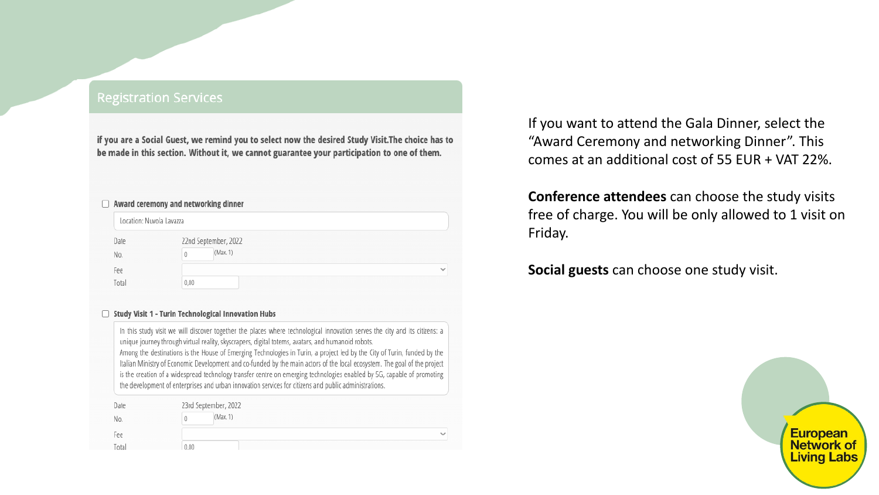## **Registration Services**

if you are a Social Guest, we remind you to select now the desired Study Visit. The choice has to be made in this section. Without it, we cannot guarantee your participation to one of them.

| U     | Award ceremony and networking dinner |              |  |
|-------|--------------------------------------|--------------|--|
|       | Location: Nuvola Lavazza             |              |  |
| Date  | 22nd September, 2022                 |              |  |
| No.   | (Max. 1)<br>Ü                        |              |  |
| Fee   |                                      | $\checkmark$ |  |
| Total | 0,00                                 |              |  |

#### □ Study Visit 1 - Turin Technological Innovation Hubs

In this study visit we will discover together the places where technological innovation serves the city and its citizens: a unique journey through virtual reality, skyscrapers, digital totems, avatars, and humanoid robots. Among the destinations is the House of Emerging Technologies in Turin, a project led by the City of Turin, funded by the Italian Ministry of Economic Development and co-funded by the main actors of the local ecosystem. The goal of the project is the creation of a widespread technology transfer centre on emerging technologies enabled by 5G, capable of promoting the development of enterprises and urban innovation services for citizens and public administrations.

| Date  | 23rd September, 2022 |        |              |
|-------|----------------------|--------|--------------|
| No.   |                      | Max. 1 |              |
| Fee   |                      |        | $\checkmark$ |
| Total | 0,00                 |        |              |

If you want to attend the Gala Dinner, select the "Award Ceremony and networking Dinner". This comes at an additional cost of 55 EUR + VAT 22%.

**Conference attendees** can choose the study visits free of charge. You will be only allowed to 1 visit on

Friday.

**Social guests** can choose one study visit.

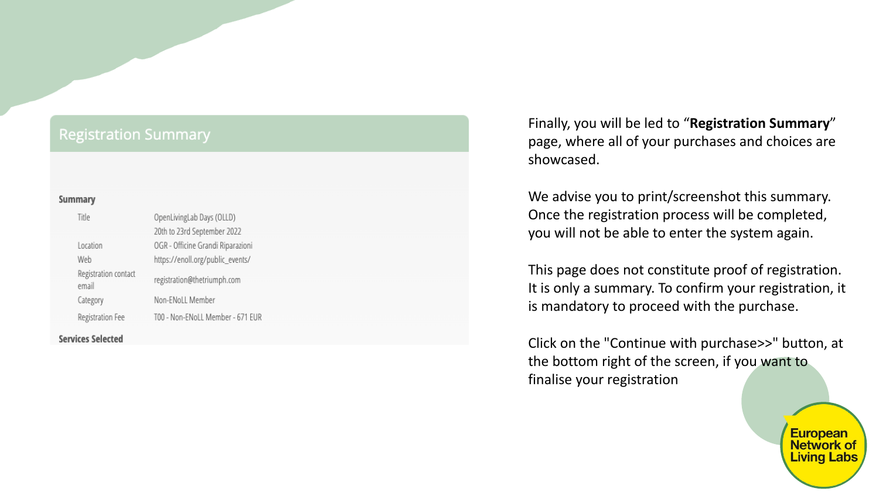## **Registration Summary** Summary Title OpenLivingLab Days (OLLD) 20th to 23rd September 2022 OGR - Officine Grandi Riparazioni Location https://enoll.org/public\_events/ Web Registration contact registration@thetriumph.com email Non-ENoLL Member Category T00 - Non-ENoLL Member - 671 EUR Registration Fee **Services Selected**

Finally, you will be led to "**Registration Summary**" page, where all of your purchases and choices are showcased.

We advise you to print/screenshot this summary. Once the registration process will be completed, you will not be able to enter the system again.

This page does not constitute proof of registration. It is only a summary. To confirm your registration, it is mandatory to proceed with the purchase.

Click on the "Continue with purchase>>" button, at the bottom right of the screen, if you want to finalise your registration